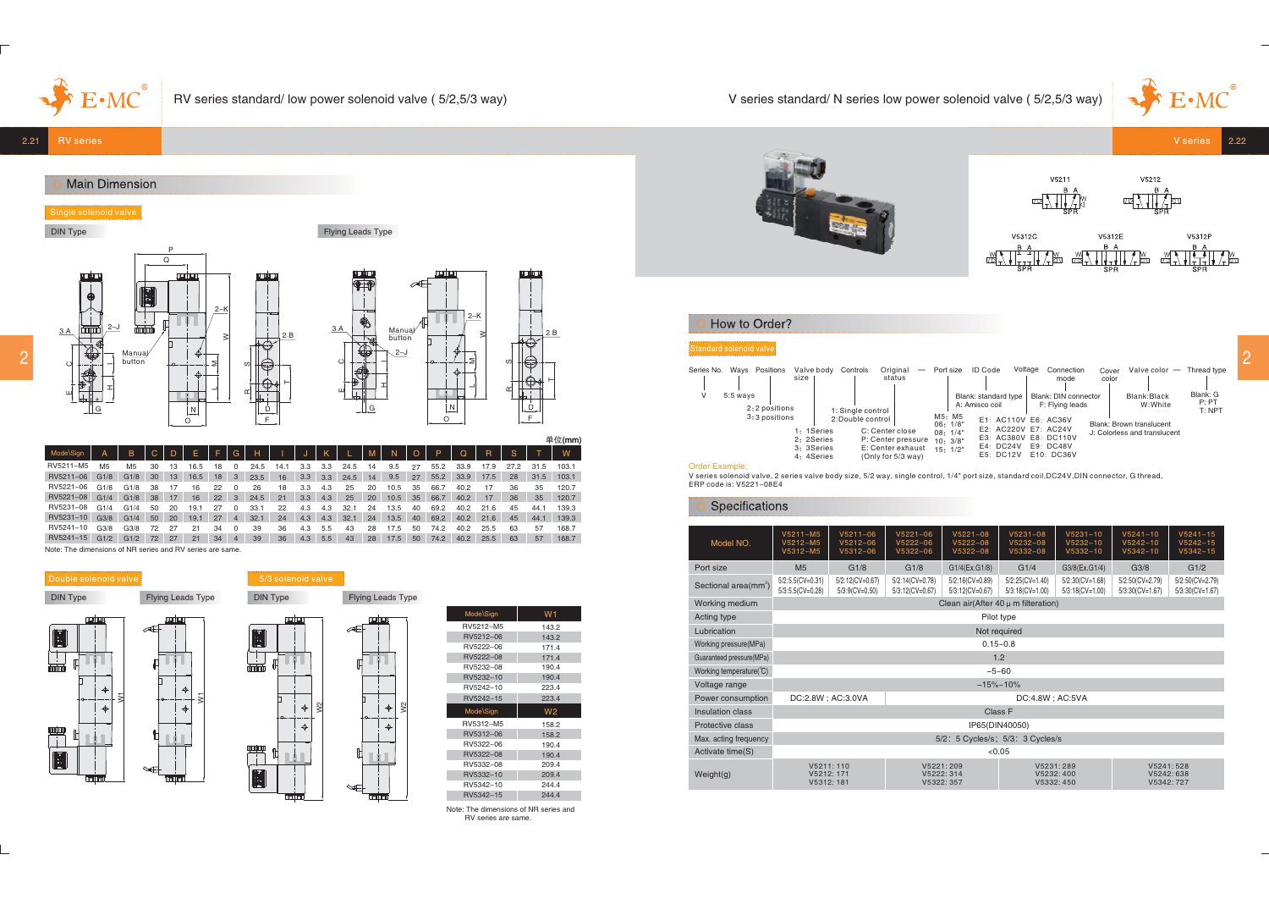# V series standard/ N series low power solenoid valve ( 5/2,5/3 way)





## How to Order?

| Valve color - Thread type<br>Cover | Series No. Ways Positions Valve body Controls<br>- Port size ID Code<br>Voltage<br>Connection<br>Original                              |
|------------------------------------|----------------------------------------------------------------------------------------------------------------------------------------|
| color                              | size<br>mode<br>status                                                                                                                 |
| Blank: G<br>Blank:Black            | 5:5 ways<br>Blank: standard type   Blank: DIN connector                                                                                |
| P: PT<br>W:White<br>T: NPT         | F: Flying leads<br>A: Amisco coil<br>2:2 positions<br>1: Single control                                                                |
| Blank: Brown translucent           | M5: M5<br>06: 1/8"<br>3:3 positions<br>2:Double control<br>E1: AC110V E6: AC36V                                                        |
| J: Colorless and translucent       | E2: AC220V E7: AC24V<br>C: Center close<br>1: 1Series<br>08:1/4"<br>E3: AC380V E8: DC110V<br>2: 2Series<br>P: Center pressure 10: 3/8" |
|                                    | E4: DC24V E9: DC48V<br>3: 3Series<br>E: Center exhaust $15:1/2$                                                                        |
|                                    | E5: DC12V E10: DC36V<br>4: 4Series<br>(Only for 5/3 way)<br>.                                                                          |

Order Example:<br>V series solenoid valve, 2 series valve body size, 5/2 way, single control, 1/4" port size, standard coil,DC24V,DIN connector, G thread.<br>ERP code is: V5221–08E4

## Specifications

| Model NO.                        | $V5211 - M5$<br>V5212-M5<br>V5312-M5    | $V5211 - 06$<br>$V5212 - 06$<br>$V5312 - 06$ | $V5221 - 06$<br>$V5221 - 08$<br>$V5222 - 06$<br>$V5222 - 08$<br>$V5322 - 06$<br>$V5322 - 08$ |                                    | $V5231 - 08$<br>$V5232 - 08$<br>$V5332 - 08$ | $V5231 - 10$<br>$V5232 - 10$<br>$V5332 - 10$ | $V5241 - 10$<br>$V5242 - 10$<br>$V5342 - 10$ | $V5241 - 15$<br>$V5242 - 15$<br>$V5342 - 15$ |  |  |  |  |
|----------------------------------|-----------------------------------------|----------------------------------------------|----------------------------------------------------------------------------------------------|------------------------------------|----------------------------------------------|----------------------------------------------|----------------------------------------------|----------------------------------------------|--|--|--|--|
| Port size                        | M <sub>5</sub>                          | G1/8                                         | G1/8                                                                                         | G1/4(Ex.G1/8)                      | G1/4                                         | G3/8(Ex.G1/4)                                | G3/8                                         | G1/2                                         |  |  |  |  |
| Sectional area(mm <sup>2</sup> ) | $5/2:5.5(CV=0.31)$<br>5/3:5.5(CV=0.28)  | 5/2:12(CV=0.67)<br>$5/3:9$ (CV=0.50)         | 5/2:14(CV=0.78)<br>5/3:12(CV=0.67)                                                           | 5/2:16(CV=0.89)<br>5/3:12(CV=0.67) | $5/2:25(CV=1.40)$<br>$5/3:18$ (CV=1.00)      | $5/2:30$ (CV=1.68)<br>$5/3:18$ (CV=1.00)     | 5/2:50(CV=2.79)<br>5/3:30(CV=1.67)           | 5/2:50(CV=2.79)<br>5/3:30(CV=1.67)           |  |  |  |  |
| Working medium                   | Clean air(After 40 $\mu$ m filteration) |                                              |                                                                                              |                                    |                                              |                                              |                                              |                                              |  |  |  |  |
| Acting type                      | Pilot type                              |                                              |                                                                                              |                                    |                                              |                                              |                                              |                                              |  |  |  |  |
| Lubrication                      | Not required                            |                                              |                                                                                              |                                    |                                              |                                              |                                              |                                              |  |  |  |  |
| Working pressure(MPa)            | $0.15 - 0.8$                            |                                              |                                                                                              |                                    |                                              |                                              |                                              |                                              |  |  |  |  |
| Guaranteed pressure(MPa)         |                                         |                                              |                                                                                              | 1.2                                |                                              |                                              |                                              |                                              |  |  |  |  |
| Working temperature(°C)          |                                         |                                              |                                                                                              | $-5 - 60$                          |                                              |                                              |                                              |                                              |  |  |  |  |
| Voltage range                    |                                         |                                              |                                                                                              |                                    | $-15% - 10%$                                 |                                              |                                              |                                              |  |  |  |  |
| Power consumption                | DC:2.8W; AC:3.0VA                       |                                              |                                                                                              |                                    | DC:4.8W; AC:5VA                              |                                              |                                              |                                              |  |  |  |  |
| Insulation class                 |                                         |                                              |                                                                                              | Class F                            |                                              |                                              |                                              |                                              |  |  |  |  |
| Protective class                 |                                         |                                              |                                                                                              | IP65(DIN40050)                     |                                              |                                              |                                              |                                              |  |  |  |  |
| Max. acting frequency            | 5/2: 5 Cycles/s; 5/3: 3 Cycles/s        |                                              |                                                                                              |                                    |                                              |                                              |                                              |                                              |  |  |  |  |
| Activate time(S)                 | < 0.05                                  |                                              |                                                                                              |                                    |                                              |                                              |                                              |                                              |  |  |  |  |
| Weight(q)                        | V5211:110<br>V5212: 171<br>V5312: 181   |                                              | V5222:314<br>V5322: 357                                                                      | V5221:209                          | V5231:289<br>V5232:400<br>V5332: 450         |                                              | V5241:528<br>V5242: 638<br>V5342: 727        |                                              |  |  |  |  |